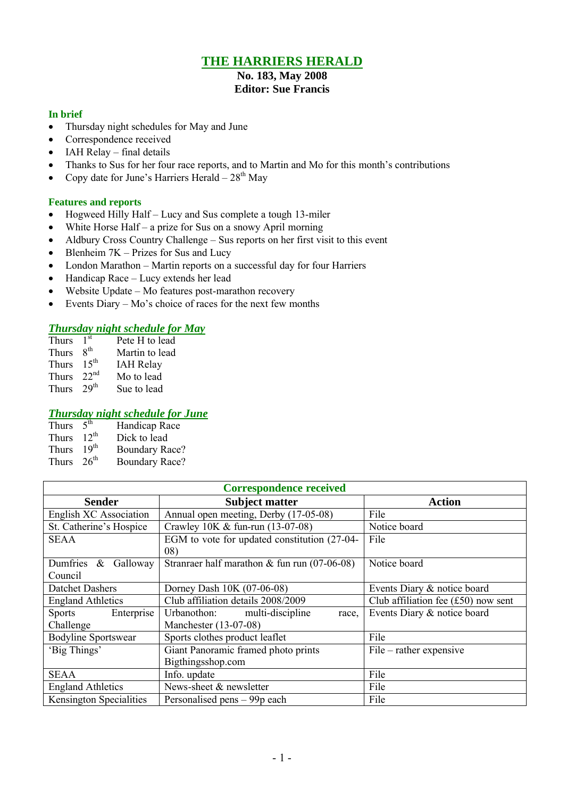## **THE HARRIERS HERALD**

# **No. 183, May 2008**

## **Editor: Sue Francis**

### **In brief**

- Thursday night schedules for May and June
- Correspondence received
- IAH Relay final details
- Thanks to Sus for her four race reports, and to Martin and Mo for this month's contributions
- Copy date for June's Harriers Herald  $-28<sup>th</sup>$  May

### **Features and reports**

- Hogweed Hilly Half Lucy and Sus complete a tough 13-miler
- White Horse Half a prize for Sus on a snowy April morning
- Aldbury Cross Country Challenge Sus reports on her first visit to this event
- $\bullet$  Blenheim 7K Prizes for Sus and Lucy
- London Marathon Martin reports on a successful day for four Harriers
- Handicap Race Lucy extends her lead
- Website Update Mo features post-marathon recovery
- Events Diary Mo's choice of races for the next few months

## *Thursday night schedule for May*

| <b>Thurs</b> | 1 <sup>st</sup>  | Pete H to lead   |
|--------------|------------------|------------------|
| Thurs        | 8 <sup>th</sup>  | Martin to lead   |
| <b>Thurs</b> | $15^{th}$        | <b>IAH Relay</b> |
| <b>Thurs</b> | 22 <sup>nd</sup> | Mo to lead       |
| <b>Thurs</b> | 29 <sup>th</sup> | Sue to lead      |

### *Thursday night schedule for June*

| Thurs        | 5 <sup>th</sup>  | Handicap Race         |
|--------------|------------------|-----------------------|
| <b>Thurs</b> | $12^{th}$        | Dick to lead          |
| <b>Thurs</b> | 19 <sup>th</sup> | <b>Boundary Race?</b> |
| <b>Thurs</b> | 26 <sup>th</sup> | <b>Boundary Race?</b> |

| <b>Correspondence received</b> |                                                |                                       |  |  |  |  |
|--------------------------------|------------------------------------------------|---------------------------------------|--|--|--|--|
| <b>Sender</b>                  | <b>Subject matter</b>                          | <b>Action</b>                         |  |  |  |  |
| <b>English XC Association</b>  | Annual open meeting, Derby (17-05-08)          | File                                  |  |  |  |  |
| St. Catherine's Hospice        | Crawley 10K & fun-run (13-07-08)               | Notice board                          |  |  |  |  |
| <b>SEAA</b>                    | EGM to vote for updated constitution (27-04-   | File                                  |  |  |  |  |
|                                | 08)                                            |                                       |  |  |  |  |
| Dumfries & Galloway            | Strantaer half marathon $&$ fun run (07-06-08) | Notice board                          |  |  |  |  |
| Council                        |                                                |                                       |  |  |  |  |
| <b>Datchet Dashers</b>         | Dorney Dash 10K (07-06-08)                     | Events Diary & notice board           |  |  |  |  |
| <b>England Athletics</b>       | Club affiliation details 2008/2009             | Club affiliation fee $(f50)$ now sent |  |  |  |  |
| Sports<br>Enterprise           | Urbanothon: multi-discipline<br>race,          | Events Diary & notice board           |  |  |  |  |
| Challenge                      | Manchester (13-07-08)                          |                                       |  |  |  |  |
| <b>Bodyline Sportswear</b>     | Sports clothes product leaflet                 | File                                  |  |  |  |  |
| 'Big Things'                   | Giant Panoramic framed photo prints            | $File - rather expensive$             |  |  |  |  |
|                                | Bigthingsshop.com                              |                                       |  |  |  |  |
| <b>SEAA</b>                    | Info. update                                   | File                                  |  |  |  |  |
| <b>England Athletics</b>       | News-sheet & newsletter                        | File                                  |  |  |  |  |
| <b>Kensington Specialities</b> | Personalised pens – 99p each                   | File                                  |  |  |  |  |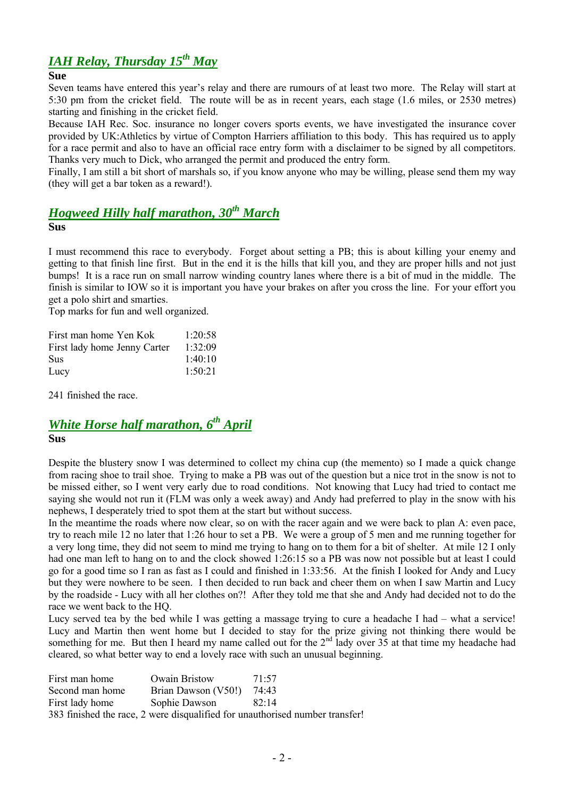# *IAH Relay, Thursday 15th May*

#### **Sue**

Seven teams have entered this year's relay and there are rumours of at least two more. The Relay will start at 5:30 pm from the cricket field. The route will be as in recent years, each stage (1.6 miles, or 2530 metres) starting and finishing in the cricket field.

Because IAH Rec. Soc. insurance no longer covers sports events, we have investigated the insurance cover provided by UK:Athletics by virtue of Compton Harriers affiliation to this body. This has required us to apply for a race permit and also to have an official race entry form with a disclaimer to be signed by all competitors. Thanks very much to Dick, who arranged the permit and produced the entry form.

Finally, I am still a bit short of marshals so, if you know anyone who may be willing, please send them my way (they will get a bar token as a reward!).

## *Hogweed Hilly half marathon, 30th March*

**Sus**

I must recommend this race to everybody. Forget about setting a PB; this is about killing your enemy and getting to that finish line first. But in the end it is the hills that kill you, and they are proper hills and not just bumps! It is a race run on small narrow winding country lanes where there is a bit of mud in the middle. The finish is similar to IOW so it is important you have your brakes on after you cross the line. For your effort you get a polo shirt and smarties.

Top marks for fun and well organized.

| First man home Yen Kok       | 1:20:58 |
|------------------------------|---------|
| First lady home Jenny Carter | 1:32:09 |
| <b>Sus</b>                   | 1:40:10 |
| Lucy                         | 1:50:21 |

241 finished the race.

## *White Horse half marathon, 6 th April* **Sus**

Despite the blustery snow I was determined to collect my china cup (the memento) so I made a quick change from racing shoe to trail shoe. Trying to make a PB was out of the question but a nice trot in the snow is not to be missed either, so I went very early due to road conditions. Not knowing that Lucy had tried to contact me saying she would not run it (FLM was only a week away) and Andy had preferred to play in the snow with his nephews, I desperately tried to spot them at the start but without success.

In the meantime the roads where now clear, so on with the racer again and we were back to plan A: even pace, try to reach mile 12 no later that 1:26 hour to set a PB. We were a group of 5 men and me running together for a very long time, they did not seem to mind me trying to hang on to them for a bit of shelter. At mile 12 I only had one man left to hang on to and the clock showed 1:26:15 so a PB was now not possible but at least I could go for a good time so I ran as fast as I could and finished in 1:33:56. At the finish I looked for Andy and Lucy but they were nowhere to be seen. I then decided to run back and cheer them on when I saw Martin and Lucy by the roadside - Lucy with all her clothes on?! After they told me that she and Andy had decided not to do the race we went back to the HQ.

Lucy served tea by the bed while I was getting a massage trying to cure a headache I had – what a service! Lucy and Martin then went home but I decided to stay for the prize giving not thinking there would be something for me. But then I heard my name called out for the  $2<sup>nd</sup>$  lady over 35 at that time my headache had cleared, so what better way to end a lovely race with such an unusual beginning.

| First man home  | <b>Owain Bristow</b>        | 71.57                                                                        |
|-----------------|-----------------------------|------------------------------------------------------------------------------|
| Second man home | Brian Dawson $(V50!)$ 74:43 |                                                                              |
| First lady home | Sophie Dawson               | 82.14                                                                        |
|                 |                             | 383 finished the race, 2 were disqualified for unauthorised number transfer! |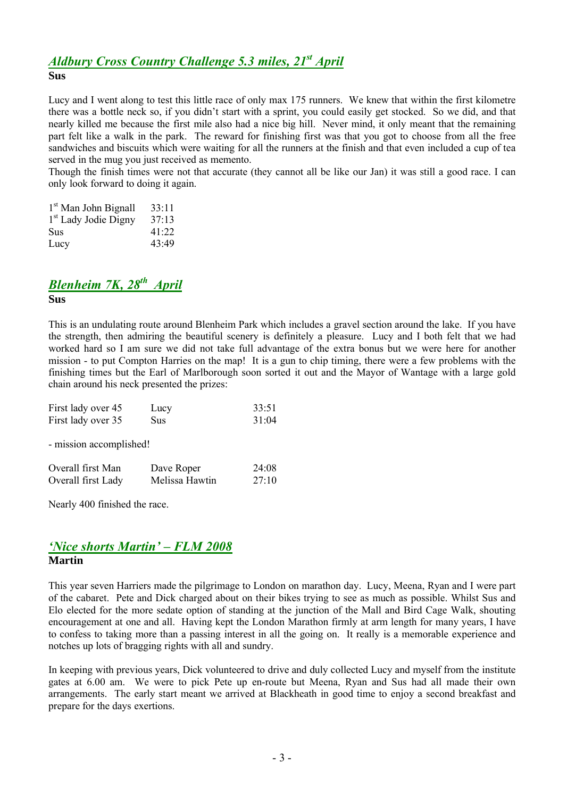### *Aldbury Cross Country Challenge 5.3 miles, 21st April* **Sus**

Lucy and I went along to test this little race of only max 175 runners. We knew that within the first kilometre there was a bottle neck so, if you didn't start with a sprint, you could easily get stocked. So we did, and that nearly killed me because the first mile also had a nice big hill. Never mind, it only meant that the remaining part felt like a walk in the park. The reward for finishing first was that you got to choose from all the free sandwiches and biscuits which were waiting for all the runners at the finish and that even included a cup of tea served in the mug you just received as memento.

Though the finish times were not that accurate (they cannot all be like our Jan) it was still a good race. I can only look forward to doing it again.

| 1 <sup>st</sup> Man John Bignall | 33:11 |
|----------------------------------|-------|
| 1 <sup>st</sup> Lady Jodie Digny | 37:13 |
| Sus                              | 41:22 |
| Lucy                             | 43:49 |

## *Blenheim 7K, 28th April*

#### **Sus**

This is an undulating route around Blenheim Park which includes a gravel section around the lake. If you have the strength, then admiring the beautiful scenery is definitely a pleasure. Lucy and I both felt that we had worked hard so I am sure we did not take full advantage of the extra bonus but we were here for another mission - to put Compton Harries on the map! It is a gun to chip timing, there were a few problems with the finishing times but the Earl of Marlborough soon sorted it out and the Mayor of Wantage with a large gold chain around his neck presented the prizes:

| First lady over 45 | Lucy | 33:51 |
|--------------------|------|-------|
| First lady over 35 | Sus  | 31:04 |

- mission accomplished!

| Overall first Man  | Dave Roper     | 24:08 |
|--------------------|----------------|-------|
| Overall first Lady | Melissa Hawtin | 27:10 |

Nearly 400 finished the race.

### *'Nice shorts Martin' – FLM 2008* **Martin**

This year seven Harriers made the pilgrimage to London on marathon day. Lucy, Meena, Ryan and I were part of the cabaret. Pete and Dick charged about on their bikes trying to see as much as possible. Whilst Sus and Elo elected for the more sedate option of standing at the junction of the Mall and Bird Cage Walk, shouting encouragement at one and all. Having kept the London Marathon firmly at arm length for many years, I have to confess to taking more than a passing interest in all the going on. It really is a memorable experience and notches up lots of bragging rights with all and sundry.

In keeping with previous years, Dick volunteered to drive and duly collected Lucy and myself from the institute gates at 6.00 am. We were to pick Pete up en-route but Meena, Ryan and Sus had all made their own arrangements. The early start meant we arrived at Blackheath in good time to enjoy a second breakfast and prepare for the days exertions.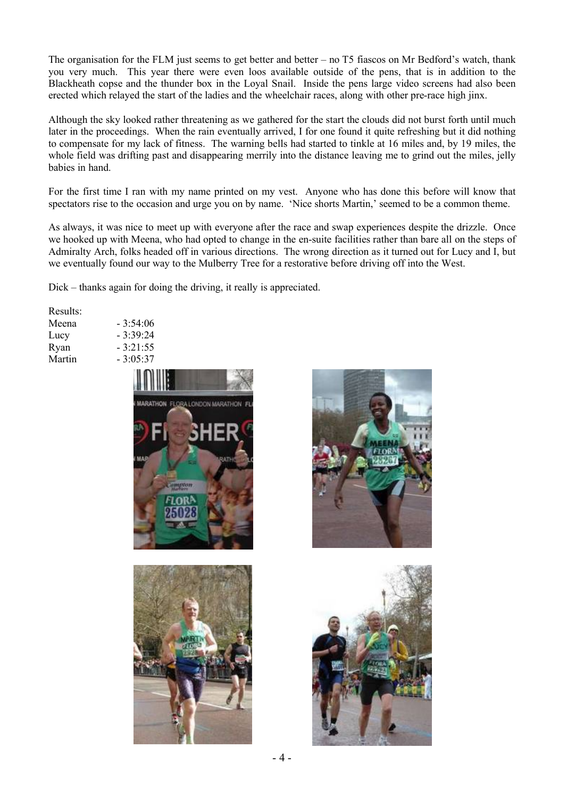The organisation for the FLM just seems to get better and better – no T5 fiascos on Mr Bedford's watch, thank you very much. This year there were even loos available outside of the pens, that is in addition to the Blackheath copse and the thunder box in the Loyal Snail. Inside the pens large video screens had also been erected which relayed the start of the ladies and the wheelchair races, along with other pre-race high jinx.

Although the sky looked rather threatening as we gathered for the start the clouds did not burst forth until much later in the proceedings. When the rain eventually arrived, I for one found it quite refreshing but it did nothing to compensate for my lack of fitness. The warning bells had started to tinkle at 16 miles and, by 19 miles, the whole field was drifting past and disappearing merrily into the distance leaving me to grind out the miles, jelly babies in hand.

For the first time I ran with my name printed on my vest. Anyone who has done this before will know that spectators rise to the occasion and urge you on by name. 'Nice shorts Martin,' seemed to be a common theme.

As always, it was nice to meet up with everyone after the race and swap experiences despite the drizzle. Once we hooked up with Meena, who had opted to change in the en-suite facilities rather than bare all on the steps of Admiralty Arch, folks headed off in various directions. The wrong direction as it turned out for Lucy and I, but we eventually found our way to the Mulberry Tree for a restorative before driving off into the West.

Dick – thanks again for doing the driving, it really is appreciated.

 $-3:54:06$  $-3:39:24$  $-3:21:55$ 

| Results: |  |
|----------|--|
| Meena    |  |
| Lucy     |  |
| Ryan     |  |
| Martin   |  |





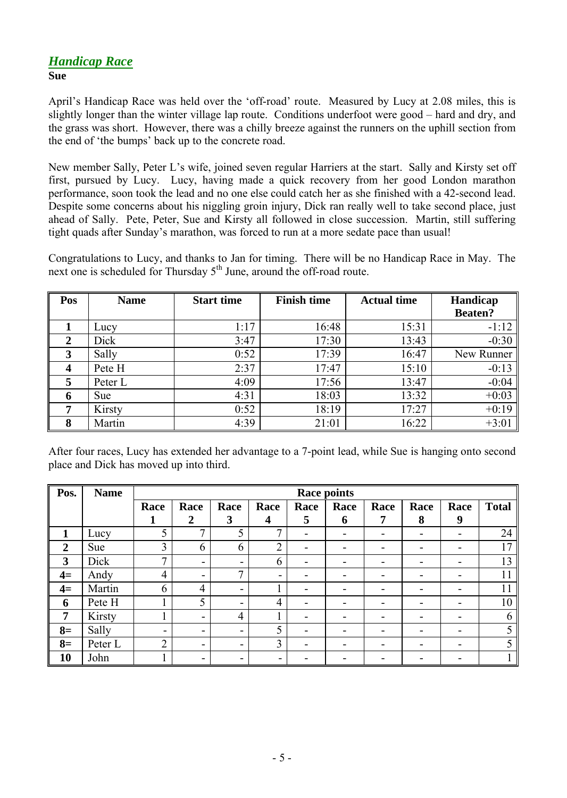### *Handicap Race* **Sue**

April's Handicap Race was held over the 'off-road' route. Measured by Lucy at 2.08 miles, this is slightly longer than the winter village lap route. Conditions underfoot were good – hard and dry, and the grass was short. However, there was a chilly breeze against the runners on the uphill section from the end of 'the bumps' back up to the concrete road.

New member Sally, Peter L's wife, joined seven regular Harriers at the start. Sally and Kirsty set off first, pursued by Lucy. Lucy, having made a quick recovery from her good London marathon performance, soon took the lead and no one else could catch her as she finished with a 42-second lead. Despite some concerns about his niggling groin injury, Dick ran really well to take second place, just ahead of Sally. Pete, Peter, Sue and Kirsty all followed in close succession. Martin, still suffering tight quads after Sunday's marathon, was forced to run at a more sedate pace than usual!

Congratulations to Lucy, and thanks to Jan for timing. There will be no Handicap Race in May. The next one is scheduled for Thursday 5<sup>th</sup> June, around the off-road route.

| Pos              | <b>Name</b> | <b>Start time</b> | <b>Finish time</b> | <b>Actual time</b> | Handicap       |
|------------------|-------------|-------------------|--------------------|--------------------|----------------|
|                  |             |                   |                    |                    | <b>Beaten?</b> |
|                  | Lucy        | 1:17              | 16:48              | 15:31              | $-1:12$        |
| $\boldsymbol{2}$ | Dick        | 3:47              | 17:30              | 13:43              | $-0:30$        |
| 3                | Sally       | 0:52              | 17:39              | 16:47              | New Runner     |
| 4                | Pete H      | 2:37              | 17:47              | 15:10              | $-0:13$        |
| 5                | Peter L     | 4:09              | 17:56              | 13:47              | $-0:04$        |
| 6                | <b>Sue</b>  | 4:31              | 18:03              | 13:32              | $+0:03$        |
| 7                | Kirsty      | 0:52              | 18:19              | 17:27              | $+0:19$        |
| 8                | Martin      | 4:39              | 21:01              | 16:22              | $+3:01$        |

After four races, Lucy has extended her advantage to a 7-point lead, while Sue is hanging onto second place and Dick has moved up into third.

| Pos.           | <b>Name</b> | <b>Race points</b>       |                          |      |                |      |                          |                          |                          |                          |              |
|----------------|-------------|--------------------------|--------------------------|------|----------------|------|--------------------------|--------------------------|--------------------------|--------------------------|--------------|
|                |             | Race                     | Race                     | Race | Race           | Race | Race                     | Race                     | Race                     | Race                     | <b>Total</b> |
|                |             | 1                        | $\boldsymbol{2}$         | 3    | 4              | 5    | 6                        | 7                        | 8                        | 9                        |              |
| 1              | Lucy        | 5                        | 7                        | 5    | 7              | -    | $\overline{\phantom{0}}$ | $\overline{\phantom{0}}$ | $\overline{\phantom{0}}$ | -                        | 24           |
| $\overline{2}$ | Sue         | 3                        | 6                        | 6    | $\overline{2}$ |      |                          | -                        | -                        | -                        | 17           |
| 3              | Dick        | 7                        | $\blacksquare$           | -    | 6              |      |                          |                          | -                        |                          | 13           |
| $4=$           | Andy        | 4                        | $\overline{\phantom{a}}$ | 7    | -              |      |                          | -                        | -                        | -                        | 11           |
| $4=$           | Martin      | 6                        | 4                        | -    |                |      |                          | -                        | -                        |                          | 11           |
| 6              | Pete H      |                          | 5                        | -    | 4              |      | -                        | -                        | ۰                        | -                        | 10           |
| 7              | Kirsty      |                          | $\overline{\phantom{a}}$ | 4    |                |      |                          |                          | ۰                        | $\overline{\phantom{0}}$ | 6            |
| $8=$           | Sally       | $\overline{\phantom{0}}$ | $\overline{\phantom{0}}$ | -    | 5              |      |                          |                          | -                        |                          |              |
| $8=$           | Peter L     | $\overline{2}$           | $\overline{\phantom{a}}$ | -    | 3              |      |                          | -                        | -                        | -                        |              |
| 10             | John        |                          | $\overline{\phantom{a}}$ |      |                |      |                          |                          | -                        |                          |              |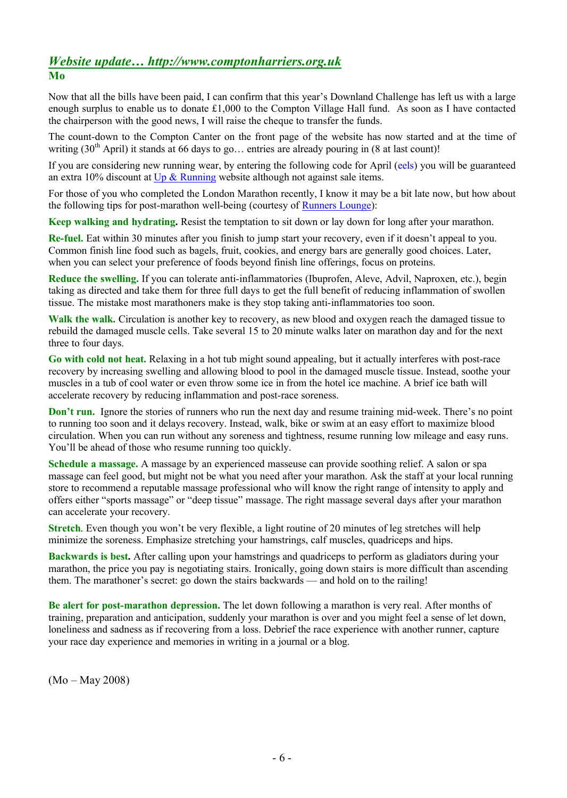## *Website update… http://www.comptonharriers.org.uk* **Mo**

Now that all the bills have been paid, I can confirm that this year's Downland Challenge has left us with a large enough surplus to enable us to donate  $\text{\pounds}1,000$  to the Compton Village Hall fund. As soon as I have contacted the chairperson with the good news, I will raise the cheque to transfer the funds.

The count-down to the Compton Canter on the front page of the website has now started and at the time of writing  $(30<sup>th</sup>$  April) it stands at 66 days to go… entries are already pouring in (8 at last count)!

If you are considering new running wear, by entering the following code for April (eels) you will be guaranteed an extra 10% discount at [Up & Running](http://upandrunning.co.uk/) website although not against sale items.

For those of you who completed the London Marathon recently, I know it may be a bit late now, but how about the following tips for post-marathon well-being (courtesy of [Runners Lounge](http://www.runnerslounge.com/)):

**Keep walking and hydrating.** Resist the temptation to sit down or lay down for long after your marathon.

**Re-fuel.** Eat within 30 minutes after you finish to jump start your recovery, even if it doesn't appeal to you. Common finish line food such as bagels, fruit, cookies, and energy bars are generally good choices. Later, when you can select your preference of foods beyond finish line offerings, focus on proteins.

**Reduce the swelling.** If you can tolerate anti-inflammatories (Ibuprofen, Aleve, Advil, Naproxen, etc.), begin taking as directed and take them for three full days to get the full benefit of reducing inflammation of swollen tissue. The mistake most marathoners make is they stop taking anti-inflammatories too soon.

**Walk the walk.** Circulation is another key to recovery, as new blood and oxygen reach the damaged tissue to rebuild the damaged muscle cells. Take several 15 to 20 minute walks later on marathon day and for the next three to four days.

**Go with cold not heat.** Relaxing in a hot tub might sound appealing, but it actually interferes with post-race recovery by increasing swelling and allowing blood to pool in the damaged muscle tissue. Instead, soothe your muscles in a tub of cool water or even throw some ice in from the hotel ice machine. A brief ice bath will accelerate recovery by reducing inflammation and post-race soreness.

**Don't run.** Ignore the stories of runners who run the next day and resume training mid-week. There's no point to running too soon and it delays recovery. Instead, walk, bike or swim at an easy effort to maximize blood circulation. When you can run without any soreness and tightness, resume running low mileage and easy runs. You'll be ahead of those who resume running too quickly.

**Schedule a massage.** A massage by an experienced masseuse can provide soothing relief. A salon or spa massage can feel good, but might not be what you need after your marathon. Ask the staff at your local running store to recommend a reputable massage professional who will know the right range of intensity to apply and offers either "sports massage" or "deep tissue" massage. The right massage several days after your marathon can accelerate your recovery.

**Stretch**. Even though you won't be very flexible, a light routine of 20 minutes of leg stretches will help minimize the soreness. Emphasize stretching your hamstrings, calf muscles, quadriceps and hips.

**Backwards is best.** After calling upon your hamstrings and quadriceps to perform as gladiators during your marathon, the price you pay is negotiating stairs. Ironically, going down stairs is more difficult than ascending them. The marathoner's secret: go down the stairs backwards — and hold on to the railing!

**Be alert for post-marathon depression.** The let down following a marathon is very real. After months of training, preparation and anticipation, suddenly your marathon is over and you might feel a sense of let down, loneliness and sadness as if recovering from a loss. Debrief the race experience with another runner, capture your race day experience and memories in writing in a journal or a blog.

(Mo – May 2008)